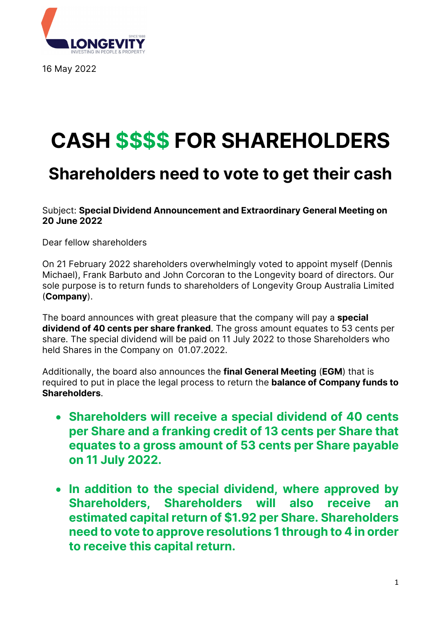

16 May 2022

# **CASH \$\$\$\$ FOR SHAREHOLDERS**

## **Shareholders need to vote to get their cash**

#### Subject: **Special Dividend Announcement and Extraordinary General Meeting on 20 June 2022**

Dear fellow shareholders

On 21 February 2022 shareholders overwhelmingly voted to appoint myself (Dennis Michael), Frank Barbuto and John Corcoran to the Longevity board of directors. Our sole purpose is to return funds to shareholders of Longevity Group Australia Limited (**Company**).

The board announces with great pleasure that the company will pay a **special dividend of 40 cents per share franked**. The gross amount equates to 53 cents per share. The special dividend will be paid on 11 July 2022 to those Shareholders who held Shares in the Company on 01.07.2022.

Additionally, the board also announces the **final General Meeting** (**EGM**) that is required to put in place the legal process to return the **balance of Company funds to Shareholders**.

- **Shareholders will receive a special dividend of 40 cents per Share and a franking credit of 13 cents per Share that equates to a gross amount of 53 cents per Share payable on 11 July 2022.**
- **In addition to the special dividend, where approved by Shareholders, Shareholders will also receive an estimated capital return of \$1.92 per Share. Shareholders need to vote to approve resolutions 1 through to 4 in order to receive this capital return.**